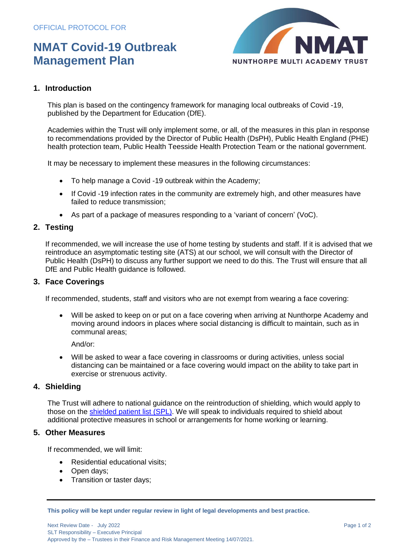# **NMAT Covid-19 Outbreak Management Plan**



### **1. Introduction**

This plan is based on the [contingency framework for managing local outbreaks](https://www.gov.uk/government/publications/coronavirus-covid-19-local-restrictions-in-education-and-childcare-settings) of Covid -19, published by the Department for Education (DfE).

Academies within the Trust will only implement some, or all, of the measures in this plan in response to recommendations provided by the Director of Public Health (DsPH), Public Health England (PHE) health protection team, Public Health Teesside Health Protection Team or the national government.

It may be necessary to implement these measures in the following circumstances:

- To help manage a Covid -19 outbreak within the Academy;
- If Covid -19 infection rates in the community are extremely high, and other measures have failed to reduce transmission;
- As part of a package of measures responding to a 'variant of concern' (VoC).

### **2. Testing**

If recommended, we will increase the use of home testing by students and staff. If it is advised that we reintroduce an asymptomatic testing site (ATS) at our school, we will consult with the Director of Public Health (DsPH) to discuss any further support we need to do this. The Trust will ensure that all DfE and Public Health guidance is followed.

### **3. Face Coverings**

If recommended, students, staff and visitors who are not exempt from wearing a face covering:

• Will be asked to keep on or put on a face covering when arriving at Nunthorpe Academy and moving around indoors in places where social distancing is difficult to maintain, such as in communal areas;

And/or:

• Will be asked to wear a face covering in classrooms or during activities, unless social distancing can be maintained or a face covering would impact on the ability to take part in exercise or strenuous activity.

### **4. Shielding**

The Trust will adhere to national guidance on the reintroduction of shielding, which would apply to those on the shielded [patient list \(SPL\).](https://digital.nhs.uk/coronavirus/shielded-patient-list) We will speak to individuals required to shield about additional protective measures in school or arrangements for home working or learning.

### **5. Other Measures**

If recommended, we will limit:

- Residential educational visits;
- Open days;
- Transition or taster days;

**This policy will be kept under regular review in light of legal developments and best practice.**